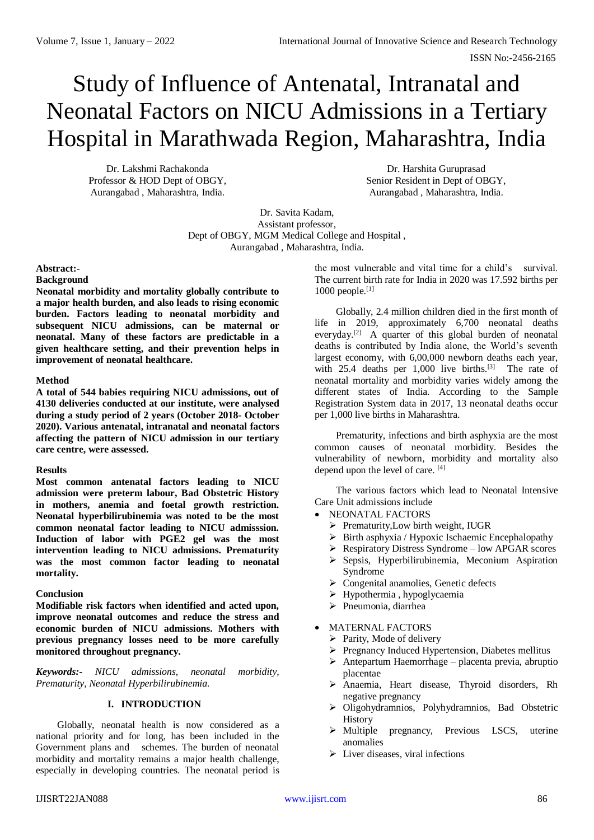# Study of Influence of Antenatal, Intranatal and Neonatal Factors on NICU Admissions in a Tertiary Hospital in Marathwada Region, Maharashtra, India

Dr. Lakshmi Rachakonda Professor & HOD Dept of OBGY, Aurangabad , Maharashtra, India.

Dr. Harshita Guruprasad Senior Resident in Dept of OBGY, Aurangabad , Maharashtra, India.

Dr. Savita Kadam, Assistant professor, Dept of OBGY, MGM Medical College and Hospital , Aurangabad , Maharashtra, India.

## **Abstract:-**

#### **Background**

**Neonatal morbidity and mortality globally contribute to a major health burden, and also leads to rising economic burden. Factors leading to neonatal morbidity and subsequent NICU admissions, can be maternal or neonatal. Many of these factors are predictable in a given healthcare setting, and their prevention helps in improvement of neonatal healthcare.**

#### **Method**

**A total of 544 babies requiring NICU admissions, out of 4130 deliveries conducted at our institute, were analysed during a study period of 2 years (October 2018- October 2020). Various antenatal, intranatal and neonatal factors affecting the pattern of NICU admission in our tertiary care centre, were assessed.** 

#### **Results**

**Most common antenatal factors leading to NICU admission were preterm labour, Bad Obstetric History in mothers, anemia and foetal growth restriction. Neonatal hyperbilirubinemia was noted to be the most common neonatal factor leading to NICU admisssion. Induction of labor with PGE2 gel was the most intervention leading to NICU admissions. Prematurity was the most common factor leading to neonatal mortality.**

## **Conclusion**

**Modifiable risk factors when identified and acted upon, improve neonatal outcomes and reduce the stress and economic burden of NICU admissions. Mothers with previous pregnancy losses need to be more carefully monitored throughout pregnancy.**

*Keywords:- NICU admissions, neonatal morbidity, Prematurity, Neonatal Hyperbilirubinemia.*

## **I. INTRODUCTION**

Globally, neonatal health is now considered as a national priority and for long, has been included in the Government plans and schemes. The burden of neonatal morbidity and mortality remains a major health challenge, especially in developing countries. The neonatal period is

the most vulnerable and vital time for a child's survival. The current birth rate for India in 2020 was 17.592 births per  $1000$  people.<sup>[1]</sup>

Globally, 2.4 million children died in the first month of life in 2019, approximately 6,700 neonatal deaths everyday.<sup>[2]</sup> A quarter of this global burden of neonatal deaths is contributed by India alone, the World's seventh largest economy, with 6,00,000 newborn deaths each year, with 25.4 deaths per 1,000 live births.<sup>[3]</sup> The rate of neonatal mortality and morbidity varies widely among the different states of India. According to the Sample Registration System data in 2017, 13 neonatal deaths occur per 1,000 live births in Maharashtra.

Prematurity, infections and birth asphyxia are the most common causes of neonatal morbidity. Besides the vulnerability of newborn, morbidity and mortality also depend upon the level of care. [4]

The various factors which lead to Neonatal Intensive Care Unit admissions include

- NEONATAL FACTORS
	- $\triangleright$  Prematurity, Low birth weight, IUGR
	- $\triangleright$  Birth asphyxia / Hypoxic Ischaemic Encephalopathy
	- $\triangleright$  Respiratory Distress Syndrome low APGAR scores
	- $\triangleright$  Sepsis, Hyperbilirubinemia, Meconium Aspiration Syndrome
	- ▶ Congenital anamolies, Genetic defects
	- Hypothermia , hypoglycaemia
	- Pneumonia, diarrhea
	- MATERNAL FACTORS
	- $\triangleright$  Parity, Mode of delivery
	- Pregnancy Induced Hypertension, Diabetes mellitus
	- $\triangleright$  Antepartum Haemorrhage placenta previa, abruptio placentae
	- Anaemia, Heart disease, Thyroid disorders, Rh negative pregnancy
	- Oligohydramnios, Polyhydramnios, Bad Obstetric History
	- $\triangleright$  Multiple pregnancy, Previous LSCS, uterine anomalies
	- $\triangleright$  Liver diseases, viral infections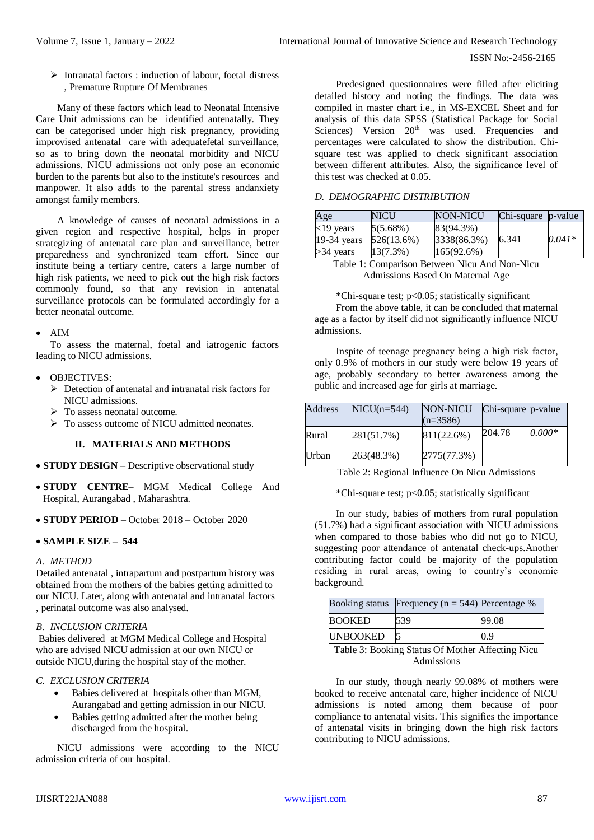#### ISSN No:-2456-2165

 $\triangleright$  Intranatal factors : induction of labour, foetal distress , Premature Rupture Of Membranes

Many of these factors which lead to Neonatal Intensive Care Unit admissions can be identified antenatally. They can be categorised under high risk pregnancy, providing improvised antenatal care with adequatefetal surveillance, so as to bring down the neonatal morbidity and NICU admissions. NICU admissions not only pose an economic burden to the parents but also to the institute's resources and manpower. It also adds to the parental stress andanxiety amongst family members.

A knowledge of causes of neonatal admissions in a given region and respective hospital, helps in proper strategizing of antenatal care plan and surveillance, better preparedness and synchronized team effort. Since our institute being a tertiary centre, caters a large number of high risk patients, we need to pick out the high risk factors commonly found, so that any revision in antenatal surveillance protocols can be formulated accordingly for a better neonatal outcome.

## AIM

To assess the maternal, foetal and iatrogenic factors leading to NICU admissions.

- OBJECTIVES:
	- $\triangleright$  Detection of antenatal and intranatal risk factors for NICU admissions.
	- $\triangleright$  To assess neonatal outcome.
	- $\triangleright$  To assess outcome of NICU admitted neonates.

## **II. MATERIALS AND METHODS**

- **STUDY DESIGN** Descriptive observational study
- **STUDY CENTRE–** MGM Medical College And Hospital, Aurangabad , Maharashtra.
- **STUDY PERIOD –** October 2018 October 2020

## **SAMPLE SIZE – 544**

#### *A. METHOD*

Detailed antenatal , intrapartum and postpartum history was obtained from the mothers of the babies getting admitted to our NICU. Later, along with antenatal and intranatal factors , perinatal outcome was also analysed.

## *B. INCLUSION CRITERIA*

Babies delivered at MGM Medical College and Hospital who are advised NICU admission at our own NICU or outside NICU,during the hospital stay of the mother.

## *C. EXCLUSION CRITERIA*

- Babies delivered at hospitals other than MGM, Aurangabad and getting admission in our NICU.
- Babies getting admitted after the mother being discharged from the hospital.

NICU admissions were according to the NICU admission criteria of our hospital.

Predesigned questionnaires were filled after eliciting detailed history and noting the findings. The data was compiled in master chart i.e., in MS-EXCEL Sheet and for analysis of this data SPSS (Statistical Package for Social Sciences) Version  $20<sup>th</sup>$  was used. Frequencies and percentages were calculated to show the distribution. Chisquare test was applied to check significant association between different attributes. Also, the significance level of this test was checked at 0.05.

#### *D. DEMOGRAPHIC DISTRIBUTION*

| Age           | <b>NICU</b> | NON-NICU    | Chi-square p-value |          |
|---------------|-------------|-------------|--------------------|----------|
| $<$ 19 years  | $5(5.68\%)$ | 83(94.3%)   |                    |          |
| $19-34$ years | 526(13.6%)  | 3338(86.3%) | 6.341              | $0.041*$ |
| $>34$ years   | 13(7.3%)    | 165(92.6%)  |                    |          |

Table 1: Comparison Between Nicu And Non-Nicu Admissions Based On Maternal Age

\*Chi-square test; p<0.05; statistically significant From the above table, it can be concluded that maternal age as a factor by itself did not significantly influence NICU admissions.

Inspite of teenage pregnancy being a high risk factor, only 0.9% of mothers in our study were below 19 years of age, probably secondary to better awareness among the public and increased age for girls at marriage.

| Address | $NICU(n=544)$ | NON-NICU<br>$(n=3586)$ | Chi-square p-value |          |
|---------|---------------|------------------------|--------------------|----------|
| Rural   | 281(51.7%)    | 811(22.6%)             | 204.78             | $0.000*$ |
| Urban   | 263(48.3%)    | 2775(77.3%)            |                    |          |

Table 2: Regional Influence On Nicu Admissions

\*Chi-square test; p<0.05; statistically significant

In our study, babies of mothers from rural population (51.7%) had a significant association with NICU admissions when compared to those babies who did not go to NICU, suggesting poor attendance of antenatal check-ups.Another contributing factor could be majority of the population residing in rural areas, owing to country's economic background.

|                 | Booking status Frequency ( $n = 544$ ) Percentage % |       |
|-----------------|-----------------------------------------------------|-------|
| <b>BOOKED</b>   | 539                                                 | 99.08 |
| <b>UNBOOKED</b> |                                                     | 0.9   |

Table 3: Booking Status Of Mother Affecting Nicu Admissions

In our study, though nearly 99.08% of mothers were booked to receive antenatal care, higher incidence of NICU admissions is noted among them because of poor compliance to antenatal visits. This signifies the importance of antenatal visits in bringing down the high risk factors contributing to NICU admissions.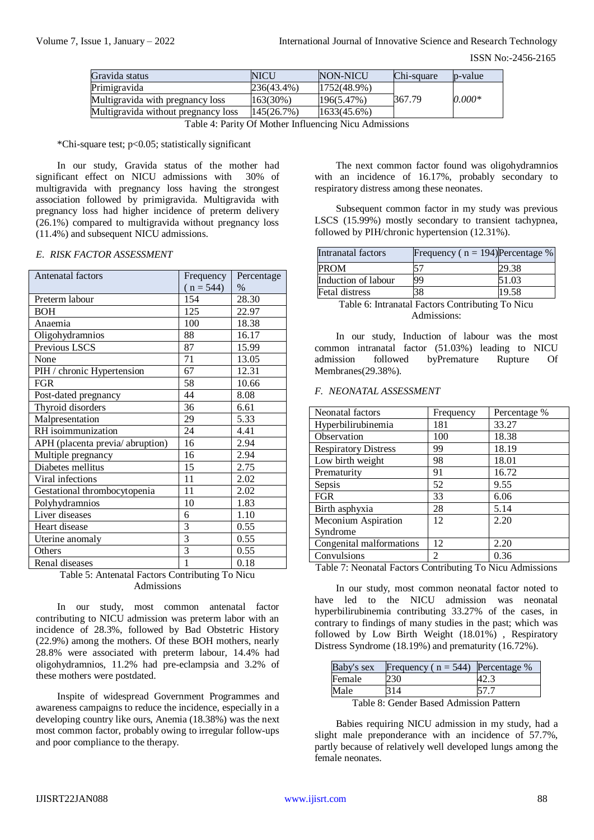| Gravida status                      | <b>NICU</b>   | NON-NICU    | Chi-square | p-value  |
|-------------------------------------|---------------|-------------|------------|----------|
| Primigravida                        | $236(43.4\%)$ | 1752(48.9%) |            |          |
| Multigravida with pregnancy loss    | 163(30%)      | 196(5.47%)  | 367.79     | $0.000*$ |
| Multigravida without pregnancy loss | 145(26.7%)    | 1633(45.6%) |            |          |

Table 4: Parity Of Mother Influencing Nicu Admissions

\*Chi-square test; p<0.05; statistically significant

In our study, Gravida status of the mother had significant effect on NICU admissions with 30% of multigravida with pregnancy loss having the strongest association followed by primigravida. Multigravida with pregnancy loss had higher incidence of preterm delivery (26.1%) compared to multigravida without pregnancy loss (11.4%) and subsequent NICU admissions.

#### *E. RISK FACTOR ASSESSMENT*

| Antenatal factors               | Frequency      | Percentage |
|---------------------------------|----------------|------------|
|                                 | $(n = 544)$    | $\%$       |
| Preterm labour                  | 154            | 28.30      |
| <b>BOH</b>                      | 125            | 22.97      |
| Anaemia                         | 100            | 18.38      |
| Oligohydramnios                 | 88             | 16.17      |
| Previous LSCS                   | 87             | 15.99      |
| None                            | 71             | 13.05      |
| PIH / chronic Hypertension      | 67             | 12.31      |
| <b>FGR</b>                      | 58             | 10.66      |
| Post-dated pregnancy            | 44             | 8.08       |
| Thyroid disorders               | 36             | 6.61       |
| Malpresentation                 | 29             | 5.33       |
| RH isoimmunization              | 24             | 4.41       |
| APH (placenta previa/abruption) | 16             | 2.94       |
| Multiple pregnancy              | 16             | 2.94       |
| Diabetes mellitus               | 15             | 2.75       |
| Viral infections                | 11             | 2.02       |
| Gestational thrombocytopenia    | 11             | 2.02       |
| Polyhydramnios                  | 10             | 1.83       |
| Liver diseases                  | 6              | 1.10       |
| Heart disease                   | 3              | 0.55       |
| Uterine anomaly                 | $\overline{3}$ | 0.55       |
| Others                          | 3              | 0.55       |
| Renal diseases                  | 1              | 0.18       |

## Table 5: Antenatal Factors Contributing To Nicu Admissions

In our study, most common antenatal factor contributing to NICU admission was preterm labor with an incidence of 28.3%, followed by Bad Obstetric History (22.9%) among the mothers. Of these BOH mothers, nearly 28.8% were associated with preterm labour, 14.4% had oligohydramnios, 11.2% had pre-eclampsia and 3.2% of these mothers were postdated.

Inspite of widespread Government Programmes and awareness campaigns to reduce the incidence, especially in a developing country like ours, Anemia (18.38%) was the next most common factor, probably owing to irregular follow-ups and poor compliance to the therapy.

The next common factor found was oligohydramnios with an incidence of 16.17%, probably secondary to respiratory distress among these neonates.

Subsequent common factor in my study was previous LSCS (15.99%) mostly secondary to transient tachypnea, followed by PIH/chronic hypertension (12.31%).

| Intranatal factors    | Frequency ( $n = 194$ )Percentage % |       |
|-----------------------|-------------------------------------|-------|
| <b>PROM</b>           | 57                                  | 29.38 |
| Induction of labour   | 99                                  | 51.03 |
| <b>Fetal distress</b> | 38                                  | 19.58 |
| _______               | $\sim$ .                            | $-1$  |

Table 6: Intranatal Factors Contributing To Nicu Admissions:

In our study, Induction of labour was the most common intranatal factor (51.03%) leading to NICU admission followed byPremature Rupture Of Membranes(29.38%).

#### *F. NEONATAL ASSESSMENT*

| Neonatal factors            | Frequency      | Percentage % |
|-----------------------------|----------------|--------------|
| Hyperbilirubinemia          | 181            | 33.27        |
| Observation                 | 100            | 18.38        |
| <b>Respiratory Distress</b> | 99             | 18.19        |
| Low birth weight            | 98             | 18.01        |
| Prematurity                 | 91             | 16.72        |
| Sepsis                      | 52             | 9.55         |
| <b>FGR</b>                  | 33             | 6.06         |
| Birth asphyxia              | 28             | 5.14         |
| Meconium Aspiration         | 12             | 2.20         |
| Syndrome                    |                |              |
| Congenital malformations    | 12             | 2.20         |
| Convulsions                 | $\mathfrak{D}$ | 0.36         |
|                             |                |              |

Table 7: Neonatal Factors Contributing To Nicu Admissions

In our study, most common neonatal factor noted to have led to the NICU admission was neonatal hyperbilirubinemia contributing 33.27% of the cases, in contrary to findings of many studies in the past; which was followed by Low Birth Weight (18.01%) , Respiratory Distress Syndrome (18.19%) and prematurity (16.72%).

| Baby's sex | Frequency ( $n = 544$ ) Percentage %    |      |
|------------|-----------------------------------------|------|
| Female     | 230                                     | 42.3 |
| Male       | 314                                     | 57.7 |
|            | Table 8. Candar Deseal Admission Dattom |      |

Table 8: Gender Based Admission Pattern

Babies requiring NICU admission in my study, had a slight male preponderance with an incidence of 57.7%, partly because of relatively well developed lungs among the female neonates.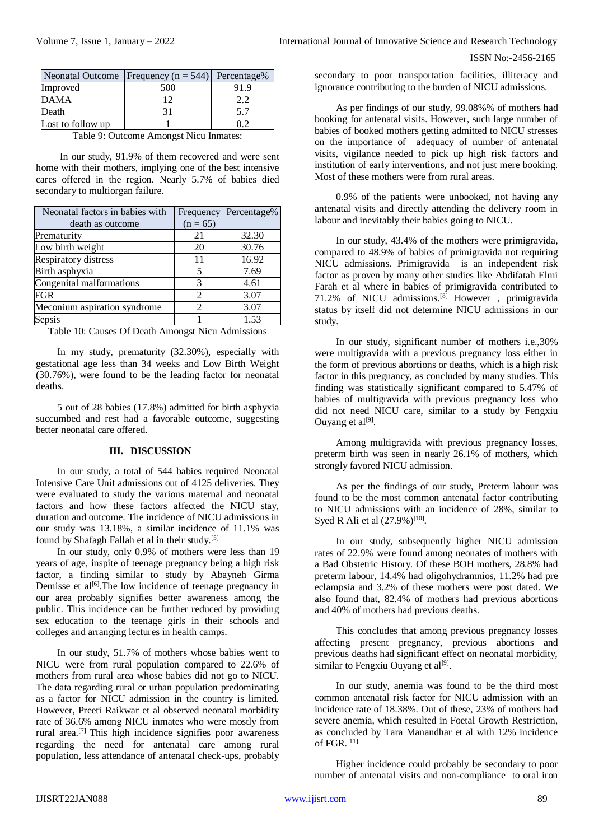|                   | Neonatal Outcome   Frequency ( $n = 544$ )   Percentage% |  |
|-------------------|----------------------------------------------------------|--|
| Improved          | 500                                                      |  |
| <b>DAMA</b>       | 12                                                       |  |
| Death             |                                                          |  |
| Lost to follow up |                                                          |  |

Table 9: Outcome Amongst Nicu Inmates:

In our study, 91.9% of them recovered and were sent home with their mothers, implying one of the best intensive cares offered in the region. Nearly 5.7% of babies died secondary to multiorgan failure.

| Neonatal factors in babies with | Frequency  | Percentage% |
|---------------------------------|------------|-------------|
| death as outcome                | $(n = 65)$ |             |
| Prematurity                     | 21         | 32.30       |
| Low birth weight                | 20         | 30.76       |
| <b>Respiratory distress</b>     | 11         | 16.92       |
| Birth asphyxia                  | 5          | 7.69        |
| Congenital malformations        | 3          | 4.61        |
| FGR                             | 2          | 3.07        |
| Meconium aspiration syndrome    | 2          | 3.07        |
| Sepsis                          |            | 1.53        |

Table 10: Causes Of Death Amongst Nicu Admissions

In my study, prematurity (32.30%), especially with gestational age less than 34 weeks and Low Birth Weight (30.76%), were found to be the leading factor for neonatal deaths.

5 out of 28 babies (17.8%) admitted for birth asphyxia succumbed and rest had a favorable outcome, suggesting better neonatal care offered.

#### **III. DISCUSSION**

In our study, a total of 544 babies required Neonatal Intensive Care Unit admissions out of 4125 deliveries. They were evaluated to study the various maternal and neonatal factors and how these factors affected the NICU stay, duration and outcome. The incidence of NICU admissions in our study was 13.18%, a similar incidence of 11.1% was found by Shafagh Fallah et al in their study.[5]

In our study, only 0.9% of mothers were less than 19 years of age, inspite of teenage pregnancy being a high risk factor, a finding similar to study by Abayneh Girma Demisse et al<sup>[6]</sup>. The low incidence of teenage pregnancy in our area probably signifies better awareness among the public. This incidence can be further reduced by providing sex education to the teenage girls in their schools and colleges and arranging lectures in health camps.

In our study, 51.7% of mothers whose babies went to NICU were from rural population compared to 22.6% of mothers from rural area whose babies did not go to NICU. The data regarding rural or urban population predominating as a factor for NICU admission in the country is limited. However, Preeti Raikwar et al observed neonatal morbidity rate of 36.6% among NICU inmates who were mostly from rural area.[7] This high incidence signifies poor awareness regarding the need for antenatal care among rural population, less attendance of antenatal check-ups, probably

secondary to poor transportation facilities, illiteracy and ignorance contributing to the burden of NICU admissions.

As per findings of our study, 99.08%% of mothers had booking for antenatal visits. However, such large number of babies of booked mothers getting admitted to NICU stresses on the importance of adequacy of number of antenatal visits, vigilance needed to pick up high risk factors and institution of early interventions, and not just mere booking. Most of these mothers were from rural areas.

0.9% of the patients were unbooked, not having any antenatal visits and directly attending the delivery room in labour and inevitably their babies going to NICU.

In our study, 43.4% of the mothers were primigravida, compared to 48.9% of babies of primigravida not requiring NICU admissions. Primigravida is an independent risk factor as proven by many other studies like Abdifatah Elmi Farah et al where in babies of primigravida contributed to 71.2% of NICU admissions.[8] However , primigravida status by itself did not determine NICU admissions in our study.

In our study, significant number of mothers i.e.,30% were multigravida with a previous pregnancy loss either in the form of previous abortions or deaths, which is a high risk factor in this pregnancy, as concluded by many studies. This finding was statistically significant compared to 5.47% of babies of multigravida with previous pregnancy loss who did not need NICU care, similar to a study by Fengxiu Ouyang et al<sup>[9]</sup>.

Among multigravida with previous pregnancy losses, preterm birth was seen in nearly 26.1% of mothers, which strongly favored NICU admission.

As per the findings of our study, Preterm labour was found to be the most common antenatal factor contributing to NICU admissions with an incidence of 28%, similar to Syed R Ali et al  $(27.9\%)^{[10]}$ .

In our study, subsequently higher NICU admission rates of 22.9% were found among neonates of mothers with a Bad Obstetric History. Of these BOH mothers, 28.8% had preterm labour, 14.4% had oligohydramnios, 11.2% had pre eclampsia and 3.2% of these mothers were post dated. We also found that, 82.4% of mothers had previous abortions and 40% of mothers had previous deaths.

This concludes that among previous pregnancy losses affecting present pregnancy, previous abortions and previous deaths had significant effect on neonatal morbidity, similar to Fengxiu Ouyang et al $^{[9]}$ .

In our study, anemia was found to be the third most common antenatal risk factor for NICU admission with an incidence rate of 18.38%. Out of these, 23% of mothers had severe anemia, which resulted in Foetal Growth Restriction, as concluded by Tara Manandhar et al with 12% incidence of  $FGR$ <sup>[11]</sup>

Higher incidence could probably be secondary to poor number of antenatal visits and non-compliance to oral iron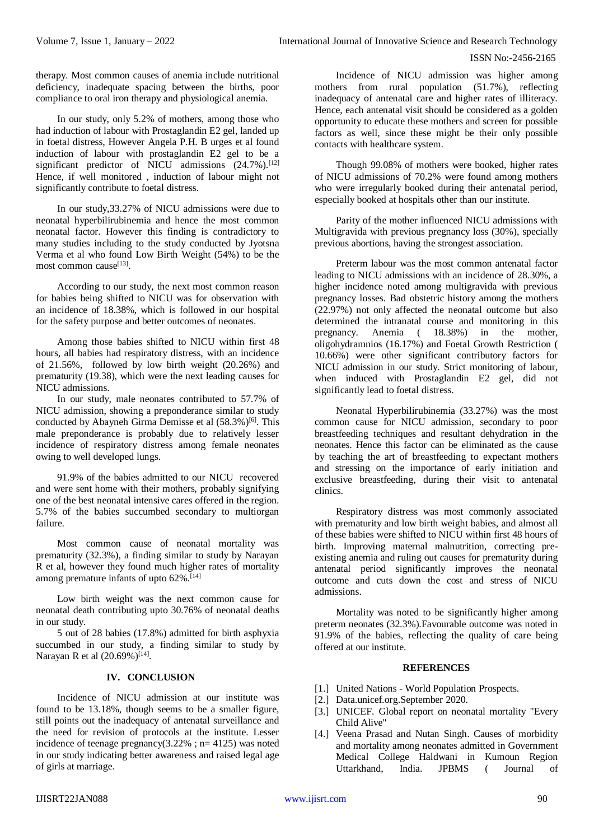#### ISSN No:-2456-2165

therapy. Most common causes of anemia include nutritional deficiency, inadequate spacing between the births, poor compliance to oral iron therapy and physiological anemia.

In our study, only 5.2% of mothers, among those who had induction of labour with Prostaglandin E2 gel, landed up in foetal distress, However Angela P.H. B urges et al found induction of labour with prostaglandin E2 gel to be a significant predictor of NICU admissions  $(24.7\%)$ .<sup>[12]</sup> Hence, if well monitored , induction of labour might not significantly contribute to foetal distress.

In our study,33.27% of NICU admissions were due to neonatal hyperbilirubinemia and hence the most common neonatal factor. However this finding is contradictory to many studies including to the study conducted by Jyotsna Verma et al who found Low Birth Weight (54%) to be the most common cause<sup>[13]</sup>.

According to our study, the next most common reason for babies being shifted to NICU was for observation with an incidence of 18.38%, which is followed in our hospital for the safety purpose and better outcomes of neonates.

Among those babies shifted to NICU within first 48 hours, all babies had respiratory distress, with an incidence of 21.56%, followed by low birth weight (20.26%) and prematurity (19.38), which were the next leading causes for NICU admissions.

In our study, male neonates contributed to 57.7% of NICU admission, showing a preponderance similar to study conducted by Abayneh Girma Demisse et al  $(58.3\%)$ <sup>[6]</sup>. This male preponderance is probably due to relatively lesser incidence of respiratory distress among female neonates owing to well developed lungs.

91.9% of the babies admitted to our NICU recovered and were sent home with their mothers, probably signifying one of the best neonatal intensive cares offered in the region. 5.7% of the babies succumbed secondary to multiorgan failure.

Most common cause of neonatal mortality was prematurity (32.3%), a finding similar to study by Narayan R et al, however they found much higher rates of mortality among premature infants of upto  $62\%$ .<sup>[14]</sup>

Low birth weight was the next common cause for neonatal death contributing upto 30.76% of neonatal deaths in our study.

5 out of 28 babies (17.8%) admitted for birth asphyxia succumbed in our study, a finding similar to study by Narayan R et al  $(20.69\%)^{[14]}$ .

## **IV. CONCLUSION**

Incidence of NICU admission at our institute was found to be 13.18%, though seems to be a smaller figure, still points out the inadequacy of antenatal surveillance and the need for revision of protocols at the institute. Lesser incidence of teenage pregnancy(3.22% ;  $n=4125$ ) was noted in our study indicating better awareness and raised legal age of girls at marriage.

Incidence of NICU admission was higher among mothers from rural population (51.7%), reflecting inadequacy of antenatal care and higher rates of illiteracy. Hence, each antenatal visit should be considered as a golden opportunity to educate these mothers and screen for possible factors as well, since these might be their only possible contacts with healthcare system.

Though 99.08% of mothers were booked, higher rates of NICU admissions of 70.2% were found among mothers who were irregularly booked during their antenatal period, especially booked at hospitals other than our institute.

Parity of the mother influenced NICU admissions with Multigravida with previous pregnancy loss (30%), specially previous abortions, having the strongest association.

Preterm labour was the most common antenatal factor leading to NICU admissions with an incidence of 28.30%, a higher incidence noted among multigravida with previous pregnancy losses. Bad obstetric history among the mothers (22.97%) not only affected the neonatal outcome but also determined the intranatal course and monitoring in this pregnancy. Anemia ( 18.38%) in the mother, oligohydramnios (16.17%) and Foetal Growth Restriction ( 10.66%) were other significant contributory factors for NICU admission in our study. Strict monitoring of labour, when induced with Prostaglandin E2 gel, did not significantly lead to foetal distress.

Neonatal Hyperbilirubinemia (33.27%) was the most common cause for NICU admission, secondary to poor breastfeeding techniques and resultant dehydration in the neonates. Hence this factor can be eliminated as the cause by teaching the art of breastfeeding to expectant mothers and stressing on the importance of early initiation and exclusive breastfeeding, during their visit to antenatal clinics.

Respiratory distress was most commonly associated with prematurity and low birth weight babies, and almost all of these babies were shifted to NICU within first 48 hours of birth. Improving maternal malnutrition, correcting preexisting anemia and ruling out causes for prematurity during antenatal period significantly improves the neonatal outcome and cuts down the cost and stress of NICU admissions.

Mortality was noted to be significantly higher among preterm neonates (32.3%).Favourable outcome was noted in 91.9% of the babies, reflecting the quality of care being offered at our institute.

#### **REFERENCES**

- [1.] United Nations World Population Prospects.
- [2.] Data.unicef.org.September 2020.
- [3.] UNICEF. Global report on neonatal mortality "Every" Child Alive"
- [4.] Veena Prasad and Nutan Singh. Causes of morbidity and mortality among neonates admitted in Government Medical College Haldwani in Kumoun Region Uttarkhand, India. JPBMS ( Journal of